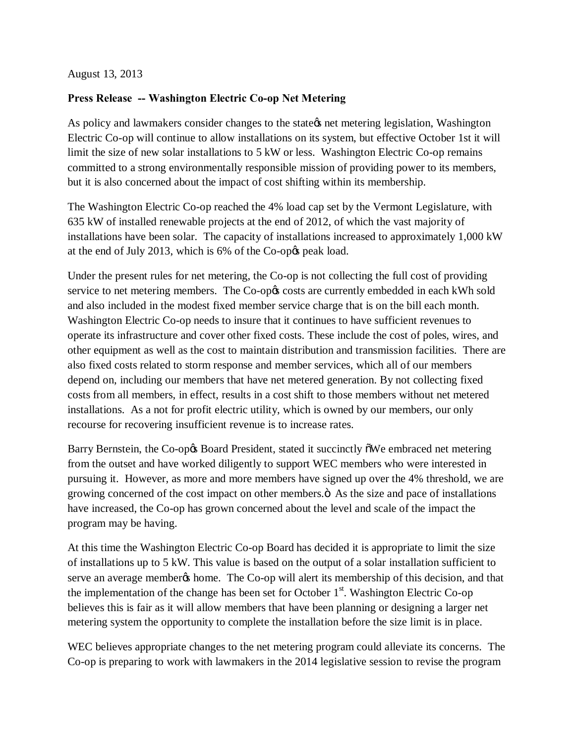August 13, 2013

## **Press Release -- Washington Electric Co-op Net Metering**

As policy and lawmakers consider changes to the state tnet metering legislation, Washington Electric Co-op will continue to allow installations on its system, but effective October 1st it will limit the size of new solar installations to 5 kW or less. Washington Electric Co-op remains committed to a strong environmentally responsible mission of providing power to its members, but it is also concerned about the impact of cost shifting within its membership.

The Washington Electric Co-op reached the 4% load cap set by the Vermont Legislature, with 635 kW of installed renewable projects at the end of 2012, of which the vast majority of installations have been solar. The capacity of installations increased to approximately 1,000 kW at the end of July 2013, which is 6% of the Co-op $\alpha$  peak load.

Under the present rules for net metering, the Co-op is not collecting the full cost of providing service to net metering members. The Co-op $\alpha$  costs are currently embedded in each kWh sold and also included in the modest fixed member service charge that is on the bill each month. Washington Electric Co-op needs to insure that it continues to have sufficient revenues to operate its infrastructure and cover other fixed costs. These include the cost of poles, wires, and other equipment as well as the cost to maintain distribution and transmission facilities. There are also fixed costs related to storm response and member services, which all of our members depend on, including our members that have net metered generation. By not collecting fixed costs from all members, in effect, results in a cost shift to those members without net metered installations. As a not for profit electric utility, which is owned by our members, our only recourse for recovering insufficient revenue is to increase rates.

Barry Bernstein, the Co-op $\alpha$  Board President, stated it succinctly  $\tilde{\text{o}}$ We embraced net metering from the outset and have worked diligently to support WEC members who were interested in pursuing it. However, as more and more members have signed up over the 4% threshold, we are growing concerned of the cost impact on other members. $\ddot{o}$  As the size and pace of installations have increased, the Co-op has grown concerned about the level and scale of the impact the program may be having.

At this time the Washington Electric Co-op Board has decided it is appropriate to limit the size of installations up to 5 kW. This value is based on the output of a solar installation sufficient to serve an average member to home. The Co-op will alert its membership of this decision, and that the implementation of the change has been set for October  $1<sup>st</sup>$ . Washington Electric Co-op believes this is fair as it will allow members that have been planning or designing a larger net metering system the opportunity to complete the installation before the size limit is in place.

WEC believes appropriate changes to the net metering program could alleviate its concerns. The Co-op is preparing to work with lawmakers in the 2014 legislative session to revise the program